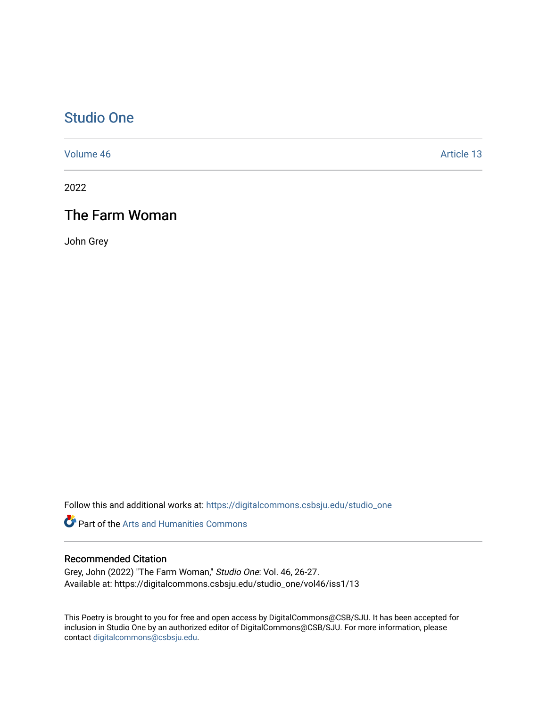## [Studio One](https://digitalcommons.csbsju.edu/studio_one)

[Volume 46](https://digitalcommons.csbsju.edu/studio_one/vol46) Article 13

2022

## The Farm Woman

John Grey

Follow this and additional works at: [https://digitalcommons.csbsju.edu/studio\\_one](https://digitalcommons.csbsju.edu/studio_one?utm_source=digitalcommons.csbsju.edu%2Fstudio_one%2Fvol46%2Fiss1%2F13&utm_medium=PDF&utm_campaign=PDFCoverPages) 

Part of the [Arts and Humanities Commons](https://network.bepress.com/hgg/discipline/438?utm_source=digitalcommons.csbsju.edu%2Fstudio_one%2Fvol46%2Fiss1%2F13&utm_medium=PDF&utm_campaign=PDFCoverPages) 

## Recommended Citation

Grey, John (2022) "The Farm Woman," Studio One: Vol. 46, 26-27. Available at: https://digitalcommons.csbsju.edu/studio\_one/vol46/iss1/13

This Poetry is brought to you for free and open access by DigitalCommons@CSB/SJU. It has been accepted for inclusion in Studio One by an authorized editor of DigitalCommons@CSB/SJU. For more information, please contact [digitalcommons@csbsju.edu.](mailto:digitalcommons@csbsju.edu)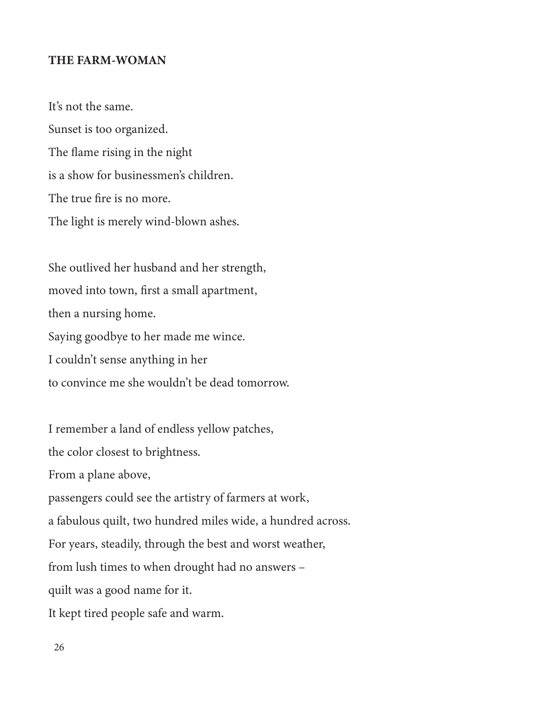## THE FARM-WOMAN

It's not the same. Sunset is too organized. The flame rising in the night is a show for businessmen's children. The true fire is no more. The light is merely wind-blown ashes.

She outlived her husband and her strength, moved into town, first a small apartment, then a nursing home. Saying goodbye to her made me wince. I couldn't sense anything in her to convince me she wouldn't be dead tomorrow.

I remember a land of endless yellow patches, the color closest to brightness. From a plane above, passengers could see the artistry of farmers at work, a fabulous quilt, two hundred miles wide, a hundred across. For years, steadily, through the best and worst weather, from lush times to when drought had no answers – quilt was a good name for it. It kept tired people safe and warm.